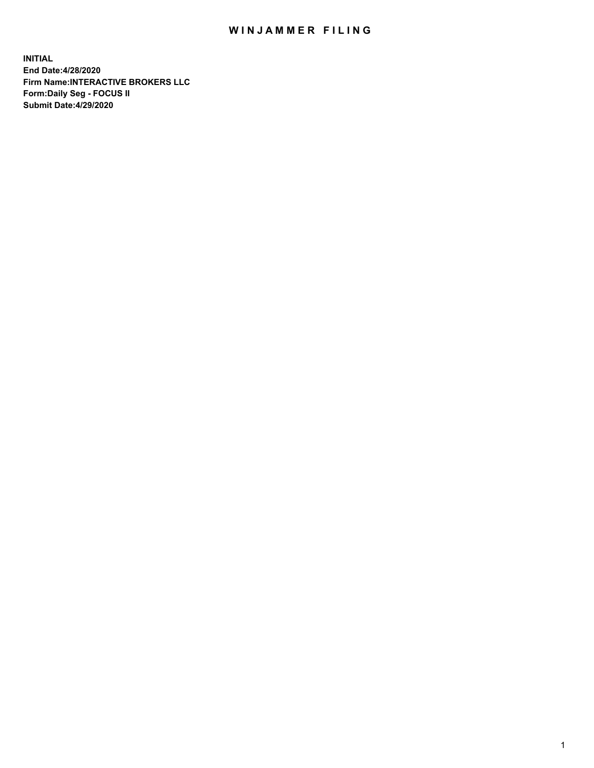## WIN JAMMER FILING

**INITIAL End Date:4/28/2020 Firm Name:INTERACTIVE BROKERS LLC Form:Daily Seg - FOCUS II Submit Date:4/29/2020**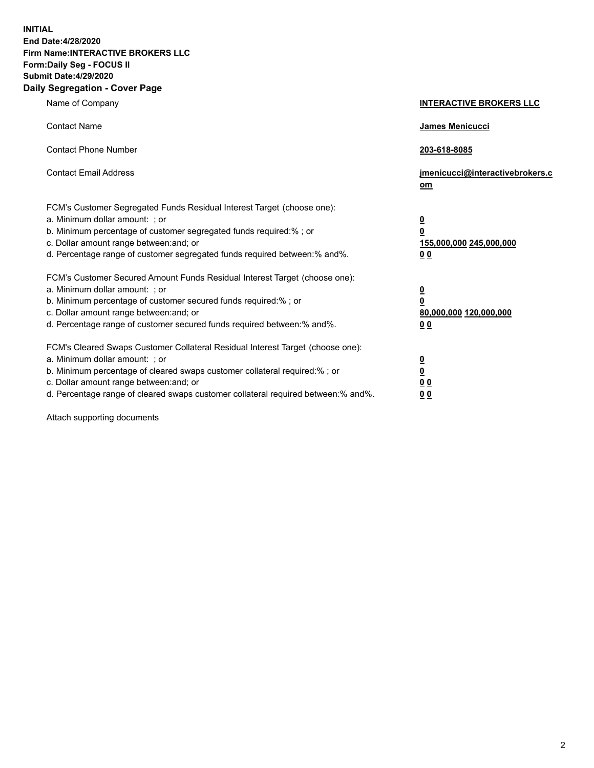**INITIAL End Date:4/28/2020 Firm Name:INTERACTIVE BROKERS LLC Form:Daily Seg - FOCUS II Submit Date:4/29/2020 Daily Segregation - Cover Page**

| Name of Company                                                                                                                                                                                                                                                                                                                | <b>INTERACTIVE BROKERS LLC</b>                                                   |  |
|--------------------------------------------------------------------------------------------------------------------------------------------------------------------------------------------------------------------------------------------------------------------------------------------------------------------------------|----------------------------------------------------------------------------------|--|
| <b>Contact Name</b>                                                                                                                                                                                                                                                                                                            | James Menicucci                                                                  |  |
| <b>Contact Phone Number</b>                                                                                                                                                                                                                                                                                                    | 203-618-8085                                                                     |  |
| <b>Contact Email Address</b>                                                                                                                                                                                                                                                                                                   | jmenicucci@interactivebrokers.c<br>om                                            |  |
| FCM's Customer Segregated Funds Residual Interest Target (choose one):<br>a. Minimum dollar amount: ; or<br>b. Minimum percentage of customer segregated funds required:% ; or<br>c. Dollar amount range between: and; or<br>d. Percentage range of customer segregated funds required between:% and%.                         | <u>0</u><br>$\overline{\mathbf{0}}$<br>155,000,000 245,000,000<br>0 <sub>0</sub> |  |
| FCM's Customer Secured Amount Funds Residual Interest Target (choose one):<br>a. Minimum dollar amount: ; or<br>b. Minimum percentage of customer secured funds required:% ; or<br>c. Dollar amount range between: and; or<br>d. Percentage range of customer secured funds required between:% and%.                           | <u>0</u><br>$\overline{\mathbf{0}}$<br>80,000,000 120,000,000<br>0 <sub>0</sub>  |  |
| FCM's Cleared Swaps Customer Collateral Residual Interest Target (choose one):<br>a. Minimum dollar amount: ; or<br>b. Minimum percentage of cleared swaps customer collateral required:% ; or<br>c. Dollar amount range between: and; or<br>d. Percentage range of cleared swaps customer collateral required between:% and%. | <u>0</u><br>$\underline{\mathbf{0}}$<br>0 <sub>0</sub><br>0 <sub>0</sub>         |  |

Attach supporting documents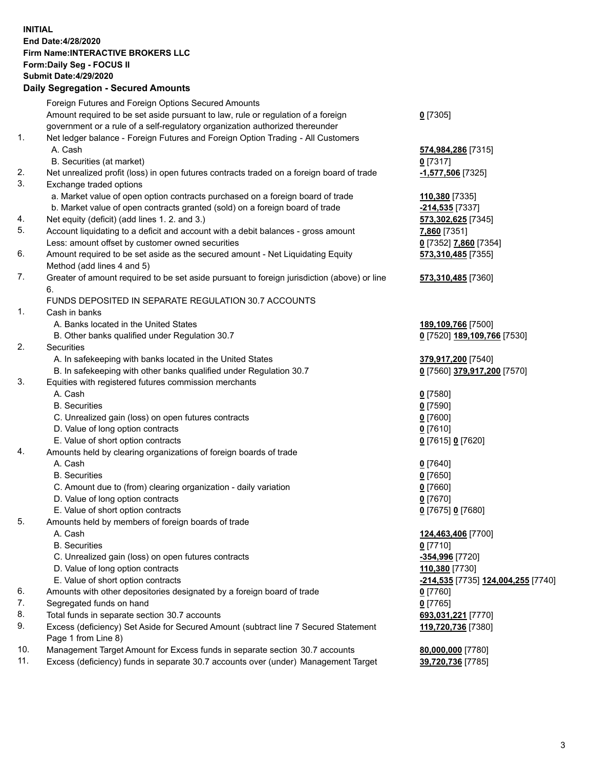**INITIAL End Date:4/28/2020 Firm Name:INTERACTIVE BROKERS LLC Form:Daily Seg - FOCUS II Submit Date:4/29/2020 Daily Segregation - Secured Amounts**

## Foreign Futures and Foreign Options Secured Amounts Amount required to be set aside pursuant to law, rule or regulation of a foreign government or a rule of a self-regulatory organization authorized thereunder **0** [7305] 1. Net ledger balance - Foreign Futures and Foreign Option Trading - All Customers A. Cash **574,984,286** [7315] B. Securities (at market) **0** [7317] 2. Net unrealized profit (loss) in open futures contracts traded on a foreign board of trade **-1,577,506** [7325] 3. Exchange traded options a. Market value of open option contracts purchased on a foreign board of trade **110,380** [7335] b. Market value of open contracts granted (sold) on a foreign board of trade **-214,535** [7337] 4. Net equity (deficit) (add lines 1. 2. and 3.) **573,302,625** [7345] 5. Account liquidating to a deficit and account with a debit balances - gross amount **7,860** [7351] Less: amount offset by customer owned securities **0** [7352] **7,860** [7354] 6. Amount required to be set aside as the secured amount - Net Liquidating Equity Method (add lines 4 and 5) **573,310,485** [7355] 7. Greater of amount required to be set aside pursuant to foreign jurisdiction (above) or line 6. **573,310,485** [7360] FUNDS DEPOSITED IN SEPARATE REGULATION 30.7 ACCOUNTS 1. Cash in banks A. Banks located in the United States **189,109,766** [7500] B. Other banks qualified under Regulation 30.7 **0** [7520] **189,109,766** [7530] 2. Securities A. In safekeeping with banks located in the United States **379,917,200** [7540] B. In safekeeping with other banks qualified under Regulation 30.7 **0** [7560] **379,917,200** [7570] 3. Equities with registered futures commission merchants A. Cash **0** [7580] B. Securities **0** [7590] C. Unrealized gain (loss) on open futures contracts **0** [7600] D. Value of long option contracts **0** [7610] E. Value of short option contracts **0** [7615] **0** [7620] 4. Amounts held by clearing organizations of foreign boards of trade A. Cash **0** [7640] B. Securities **0** [7650] C. Amount due to (from) clearing organization - daily variation **0** [7660] D. Value of long option contracts **0** [7670] E. Value of short option contracts **0** [7675] **0** [7680] 5. Amounts held by members of foreign boards of trade A. Cash **124,463,406** [7700] B. Securities **0** [7710] C. Unrealized gain (loss) on open futures contracts **-354,996** [7720] D. Value of long option contracts **110,380** [7730] E. Value of short option contracts **-214,535** [7735] **124,004,255** [7740] 6. Amounts with other depositories designated by a foreign board of trade **0** [7760] 7. Segregated funds on hand **0** [7765] 8. Total funds in separate section 30.7 accounts **693,031,221** [7770] 9. Excess (deficiency) Set Aside for Secured Amount (subtract line 7 Secured Statement Page 1 from Line 8) **119,720,736** [7380] 10. Management Target Amount for Excess funds in separate section 30.7 accounts **80,000,000** [7780] 11. Excess (deficiency) funds in separate 30.7 accounts over (under) Management Target **39,720,736** [7785]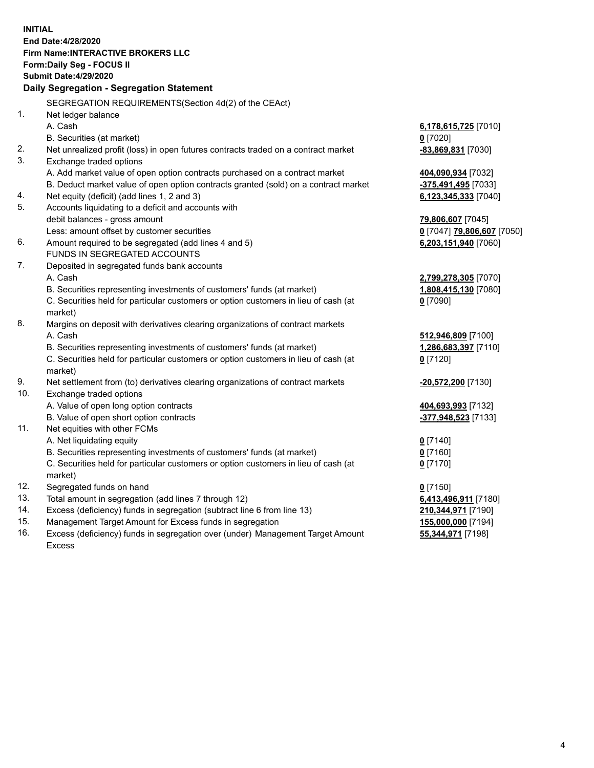**INITIAL End Date:4/28/2020 Firm Name:INTERACTIVE BROKERS LLC Form:Daily Seg - FOCUS II Submit Date:4/29/2020 Daily Segregation - Segregation Statement** SEGREGATION REQUIREMENTS(Section 4d(2) of the CEAct) 1. Net ledger balance A. Cash **6,178,615,725** [7010] B. Securities (at market) **0** [7020] 2. Net unrealized profit (loss) in open futures contracts traded on a contract market **-83,869,831** [7030] 3. Exchange traded options A. Add market value of open option contracts purchased on a contract market **404,090,934** [7032] B. Deduct market value of open option contracts granted (sold) on a contract market **-375,491,495** [7033] 4. Net equity (deficit) (add lines 1, 2 and 3) **6,123,345,333** [7040] 5. Accounts liquidating to a deficit and accounts with debit balances - gross amount **79,806,607** [7045] Less: amount offset by customer securities **0** [7047] **79,806,607** [7050] 6. Amount required to be segregated (add lines 4 and 5) **6,203,151,940** [7060] FUNDS IN SEGREGATED ACCOUNTS 7. Deposited in segregated funds bank accounts A. Cash **2,799,278,305** [7070] B. Securities representing investments of customers' funds (at market) **1,808,415,130** [7080] C. Securities held for particular customers or option customers in lieu of cash (at market) **0** [7090] 8. Margins on deposit with derivatives clearing organizations of contract markets A. Cash **512,946,809** [7100] B. Securities representing investments of customers' funds (at market) **1,286,683,397** [7110] C. Securities held for particular customers or option customers in lieu of cash (at market) **0** [7120] 9. Net settlement from (to) derivatives clearing organizations of contract markets **-20,572,200** [7130] 10. Exchange traded options A. Value of open long option contracts **404,693,993** [7132] B. Value of open short option contracts **-377,948,523** [7133] 11. Net equities with other FCMs A. Net liquidating equity **0** [7140] B. Securities representing investments of customers' funds (at market) **0** [7160] C. Securities held for particular customers or option customers in lieu of cash (at market) **0** [7170] 12. Segregated funds on hand **0** [7150] 13. Total amount in segregation (add lines 7 through 12) **6,413,496,911** [7180] 14. Excess (deficiency) funds in segregation (subtract line 6 from line 13) **210,344,971** [7190] 15. Management Target Amount for Excess funds in segregation **155,000,000** [7194] 16. Excess (deficiency) funds in segregation over (under) Management Target Amount **55,344,971** [7198]

Excess